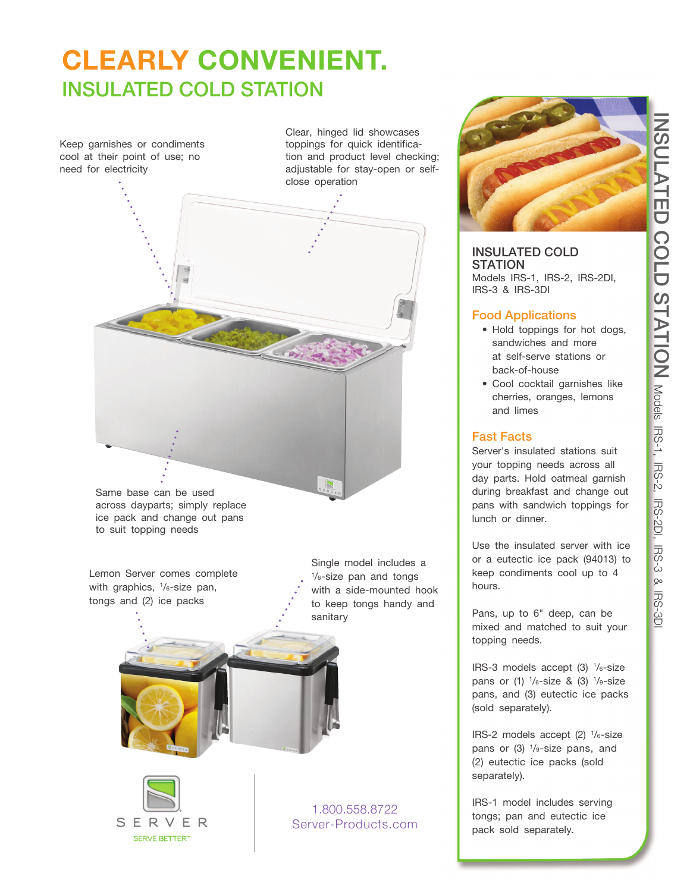# **INSULATED COLD STATION** NSULATED COLD STATION Models IRS-2, IRS-2D, IRS-201, IRS-201 Models IRS-1, IRS-2, IRS-2DI, IRS-3 & IRS-3DI 反 상

# **CLEARLY CONVENIENT. INSULATED COLD STATION**

Keep garnishes or condiments cool at their point of use; no need for electricity

Clear, hinged lid showcases toppings for quick identification and product level checking; adjustable for stay-open or selfclose operation



Same base can be used across dayparts; simply replace ice pack and change out pans to suit topping needs

Lemon Server comes complete with graphics, 1 /6-size pan, tongs and (2) ice packs

Single model includes a 1 /6-size pan and tongs with a side-mounted hook to keep tongs handy and sanitary



1.800.558.8722 Server-Products.com



# **INSULATED COLD STATION**

Models IRS-1, IRS-2, IRS-2DI, IRS-3 & IRS-3DI

### **Food Applications**

- Hold toppings for hot dogs, sandwiches and more at self-serve stations or back-of-house
- Cool cocktail garnishes like cherries, oranges, lemons and limes

# **Fast Facts**

Server's insulated stations suit your topping needs across all day parts. Hold oatmeal garnish during breakfast and change out pans with sandwich toppings for lunch or dinner.

Use the insulated server with ice or a eutectic ice pack (94013) to keep condiments cool up to 4 hours.

Pans, up to 6" deep, can be mixed and matched to suit your topping needs.

IRS-3 models accept (3) 1 /6-size pans or (1)  $\frac{1}{6}$ -size & (3)  $\frac{1}{9}$ -size pans, and (3) eutectic ice packs (sold separately).

IRS-2 models accept (2) 1 /6-size pans or (3) 1 /9-size pans, and (2) eutectic ice packs (sold separately).

IRS-1 model includes serving tongs; pan and eutectic ice pack sold separately.